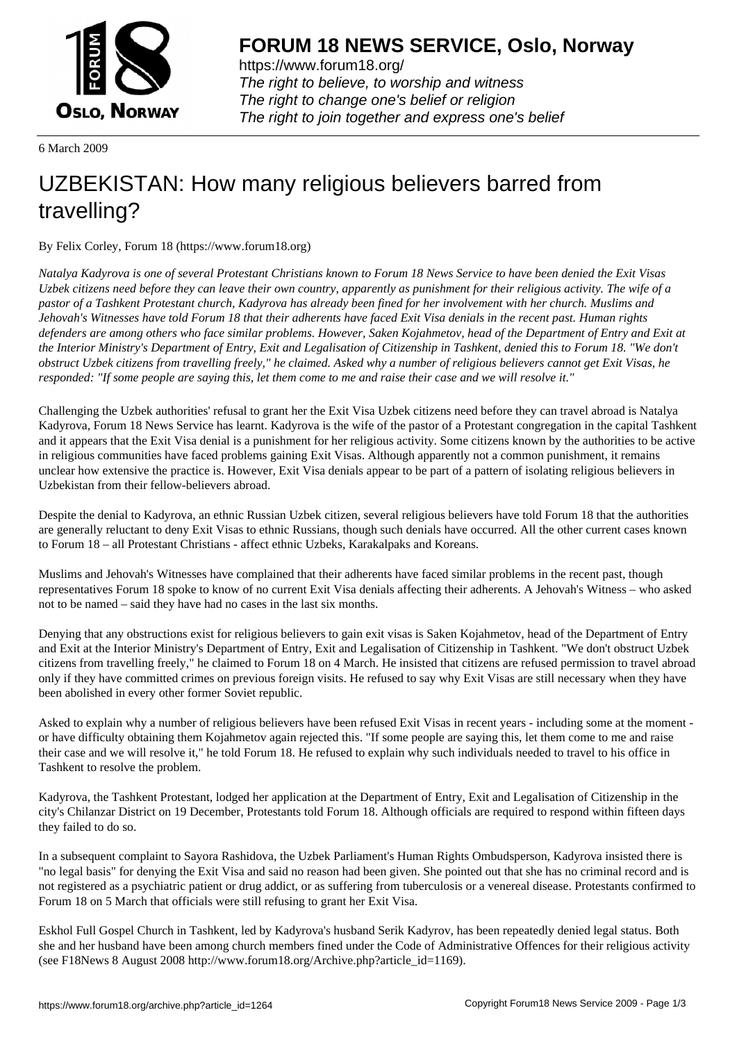

https://www.forum18.org/ The right to believe, to worship and witness The right to change one's belief or religion [The right to join together a](https://www.forum18.org/)nd express one's belief

6 March 2009

## [UZBEKISTAN:](https://www.forum18.org) How many religious believers barred from travelling?

By Felix Corley, Forum 18 (https://www.forum18.org)

*Natalya Kadyrova is one of several Protestant Christians known to Forum 18 News Service to have been denied the Exit Visas Uzbek citizens need before they can leave their own country, apparently as punishment for their religious activity. The wife of a pastor of a Tashkent Protestant church, Kadyrova has already been fined for her involvement with her church. Muslims and Jehovah's Witnesses have told Forum 18 that their adherents have faced Exit Visa denials in the recent past. Human rights defenders are among others who face similar problems. However, Saken Kojahmetov, head of the Department of Entry and Exit at the Interior Ministry's Department of Entry, Exit and Legalisation of Citizenship in Tashkent, denied this to Forum 18. "We don't obstruct Uzbek citizens from travelling freely," he claimed. Asked why a number of religious believers cannot get Exit Visas, he responded: "If some people are saying this, let them come to me and raise their case and we will resolve it."*

Challenging the Uzbek authorities' refusal to grant her the Exit Visa Uzbek citizens need before they can travel abroad is Natalya Kadyrova, Forum 18 News Service has learnt. Kadyrova is the wife of the pastor of a Protestant congregation in the capital Tashkent and it appears that the Exit Visa denial is a punishment for her religious activity. Some citizens known by the authorities to be active in religious communities have faced problems gaining Exit Visas. Although apparently not a common punishment, it remains unclear how extensive the practice is. However, Exit Visa denials appear to be part of a pattern of isolating religious believers in Uzbekistan from their fellow-believers abroad.

Despite the denial to Kadyrova, an ethnic Russian Uzbek citizen, several religious believers have told Forum 18 that the authorities are generally reluctant to deny Exit Visas to ethnic Russians, though such denials have occurred. All the other current cases known to Forum 18 – all Protestant Christians - affect ethnic Uzbeks, Karakalpaks and Koreans.

Muslims and Jehovah's Witnesses have complained that their adherents have faced similar problems in the recent past, though representatives Forum 18 spoke to know of no current Exit Visa denials affecting their adherents. A Jehovah's Witness – who asked not to be named – said they have had no cases in the last six months.

Denying that any obstructions exist for religious believers to gain exit visas is Saken Kojahmetov, head of the Department of Entry and Exit at the Interior Ministry's Department of Entry, Exit and Legalisation of Citizenship in Tashkent. "We don't obstruct Uzbek citizens from travelling freely," he claimed to Forum 18 on 4 March. He insisted that citizens are refused permission to travel abroad only if they have committed crimes on previous foreign visits. He refused to say why Exit Visas are still necessary when they have been abolished in every other former Soviet republic.

Asked to explain why a number of religious believers have been refused Exit Visas in recent years - including some at the moment or have difficulty obtaining them Kojahmetov again rejected this. "If some people are saying this, let them come to me and raise their case and we will resolve it," he told Forum 18. He refused to explain why such individuals needed to travel to his office in Tashkent to resolve the problem.

Kadyrova, the Tashkent Protestant, lodged her application at the Department of Entry, Exit and Legalisation of Citizenship in the city's Chilanzar District on 19 December, Protestants told Forum 18. Although officials are required to respond within fifteen days they failed to do so.

In a subsequent complaint to Sayora Rashidova, the Uzbek Parliament's Human Rights Ombudsperson, Kadyrova insisted there is "no legal basis" for denying the Exit Visa and said no reason had been given. She pointed out that she has no criminal record and is not registered as a psychiatric patient or drug addict, or as suffering from tuberculosis or a venereal disease. Protestants confirmed to Forum 18 on 5 March that officials were still refusing to grant her Exit Visa.

Eskhol Full Gospel Church in Tashkent, led by Kadyrova's husband Serik Kadyrov, has been repeatedly denied legal status. Both she and her husband have been among church members fined under the Code of Administrative Offences for their religious activity (see F18News 8 August 2008 http://www.forum18.org/Archive.php?article\_id=1169).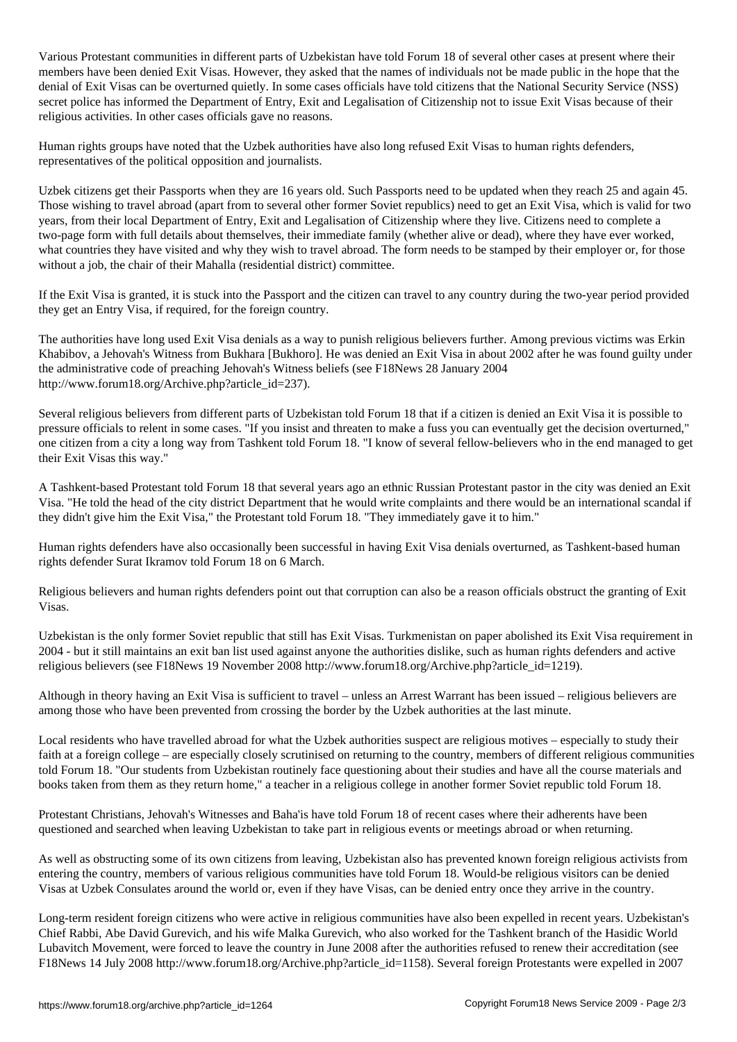Various Protestant communities in different parts of Uzbekistan have told Forum 18 of several other cases at present where their members have been denied Exit Visas. However, they asked that the names of individuals not be made public in the hope that the denial of Exit Visas can be overturned quietly. In some cases officials have told citizens that the National Security Service (NSS) secret police has informed the Department of Entry, Exit and Legalisation of Citizenship not to issue Exit Visas because of their religious activities. In other cases officials gave no reasons.

Human rights groups have noted that the Uzbek authorities have also long refused Exit Visas to human rights defenders, representatives of the political opposition and journalists.

Uzbek citizens get their Passports when they are 16 years old. Such Passports need to be updated when they reach 25 and again 45. Those wishing to travel abroad (apart from to several other former Soviet republics) need to get an Exit Visa, which is valid for two years, from their local Department of Entry, Exit and Legalisation of Citizenship where they live. Citizens need to complete a two-page form with full details about themselves, their immediate family (whether alive or dead), where they have ever worked, what countries they have visited and why they wish to travel abroad. The form needs to be stamped by their employer or, for those without a job, the chair of their Mahalla (residential district) committee.

If the Exit Visa is granted, it is stuck into the Passport and the citizen can travel to any country during the two-year period provided they get an Entry Visa, if required, for the foreign country.

The authorities have long used Exit Visa denials as a way to punish religious believers further. Among previous victims was Erkin Khabibov, a Jehovah's Witness from Bukhara [Bukhoro]. He was denied an Exit Visa in about 2002 after he was found guilty under the administrative code of preaching Jehovah's Witness beliefs (see F18News 28 January 2004 http://www.forum18.org/Archive.php?article\_id=237).

Several religious believers from different parts of Uzbekistan told Forum 18 that if a citizen is denied an Exit Visa it is possible to pressure officials to relent in some cases. "If you insist and threaten to make a fuss you can eventually get the decision overturned," one citizen from a city a long way from Tashkent told Forum 18. "I know of several fellow-believers who in the end managed to get their Exit Visas this way."

A Tashkent-based Protestant told Forum 18 that several years ago an ethnic Russian Protestant pastor in the city was denied an Exit Visa. "He told the head of the city district Department that he would write complaints and there would be an international scandal if they didn't give him the Exit Visa," the Protestant told Forum 18. "They immediately gave it to him."

Human rights defenders have also occasionally been successful in having Exit Visa denials overturned, as Tashkent-based human rights defender Surat Ikramov told Forum 18 on 6 March.

Religious believers and human rights defenders point out that corruption can also be a reason officials obstruct the granting of Exit Visas.

Uzbekistan is the only former Soviet republic that still has Exit Visas. Turkmenistan on paper abolished its Exit Visa requirement in 2004 - but it still maintains an exit ban list used against anyone the authorities dislike, such as human rights defenders and active religious believers (see F18News 19 November 2008 http://www.forum18.org/Archive.php?article\_id=1219).

Although in theory having an Exit Visa is sufficient to travel – unless an Arrest Warrant has been issued – religious believers are among those who have been prevented from crossing the border by the Uzbek authorities at the last minute.

Local residents who have travelled abroad for what the Uzbek authorities suspect are religious motives – especially to study their faith at a foreign college – are especially closely scrutinised on returning to the country, members of different religious communities told Forum 18. "Our students from Uzbekistan routinely face questioning about their studies and have all the course materials and books taken from them as they return home," a teacher in a religious college in another former Soviet republic told Forum 18.

Protestant Christians, Jehovah's Witnesses and Baha'is have told Forum 18 of recent cases where their adherents have been questioned and searched when leaving Uzbekistan to take part in religious events or meetings abroad or when returning.

As well as obstructing some of its own citizens from leaving, Uzbekistan also has prevented known foreign religious activists from entering the country, members of various religious communities have told Forum 18. Would-be religious visitors can be denied Visas at Uzbek Consulates around the world or, even if they have Visas, can be denied entry once they arrive in the country.

Long-term resident foreign citizens who were active in religious communities have also been expelled in recent years. Uzbekistan's Chief Rabbi, Abe David Gurevich, and his wife Malka Gurevich, who also worked for the Tashkent branch of the Hasidic World Lubavitch Movement, were forced to leave the country in June 2008 after the authorities refused to renew their accreditation (see F18News 14 July 2008 http://www.forum18.org/Archive.php?article\_id=1158). Several foreign Protestants were expelled in 2007